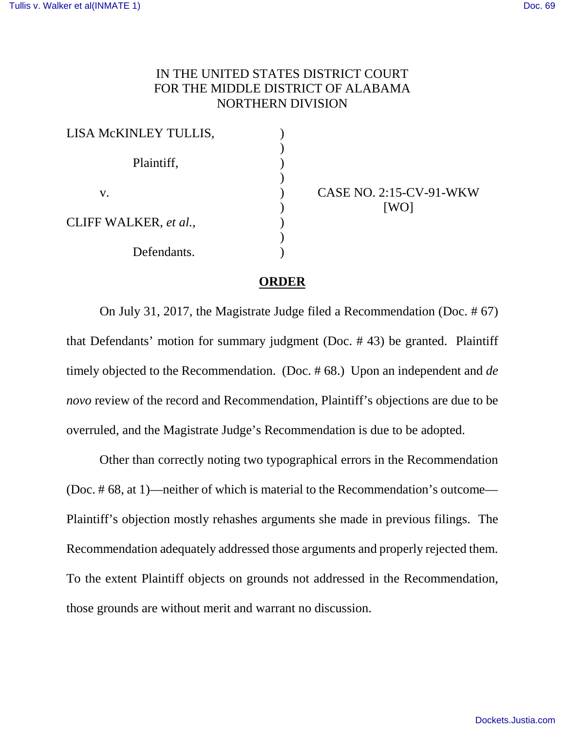## IN THE UNITED STATES DISTRICT COURT FOR THE MIDDLE DISTRICT OF ALABAMA NORTHERN DIVISION

| LISA MCKINLEY TULLIS, |  |
|-----------------------|--|
|                       |  |
| Plaintiff,            |  |
|                       |  |
| V.                    |  |
|                       |  |
| CLIFF WALKER, et al., |  |
|                       |  |
| Defendants.           |  |

CASE NO. 2:15-CV-91-WKW [WO]

## **ORDER**

On July 31, 2017, the Magistrate Judge filed a Recommendation (Doc. # 67) that Defendants' motion for summary judgment (Doc. # 43) be granted. Plaintiff timely objected to the Recommendation. (Doc. # 68.) Upon an independent and *de novo* review of the record and Recommendation, Plaintiff's objections are due to be overruled, and the Magistrate Judge's Recommendation is due to be adopted.

Other than correctly noting two typographical errors in the Recommendation (Doc. # 68, at 1)—neither of which is material to the Recommendation's outcome— Plaintiff's objection mostly rehashes arguments she made in previous filings. The Recommendation adequately addressed those arguments and properly rejected them. To the extent Plaintiff objects on grounds not addressed in the Recommendation, those grounds are without merit and warrant no discussion.